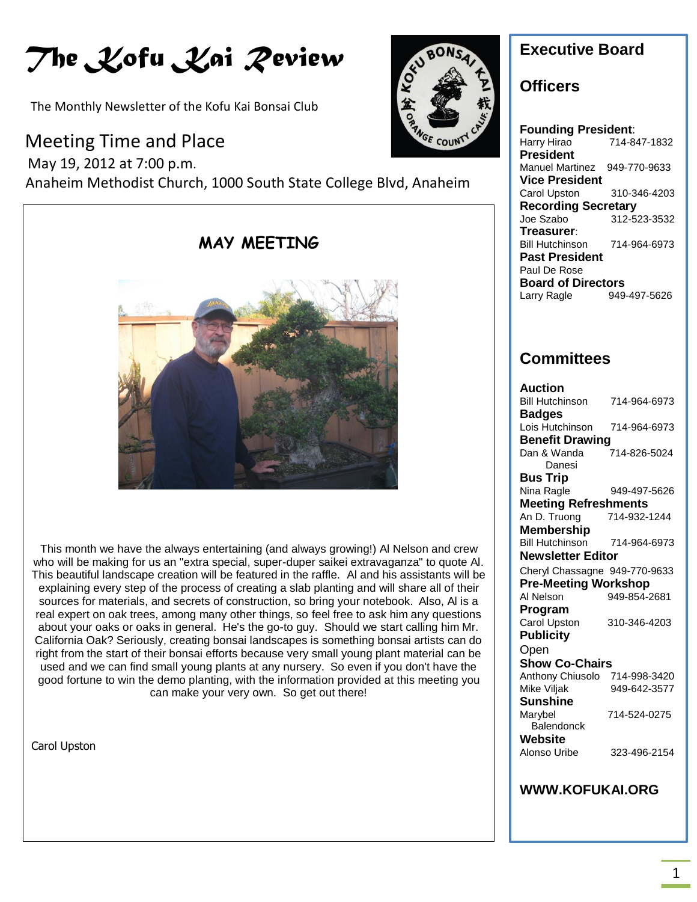# *The Kofu Kai Review*

The Monthly Newsletter of the Kofu Kai Bonsai Club

### Meeting Time and Place

 May 19, 2012 at 7:00 p.m. Anaheim Methodist Church, 1000 South State College Blvd, Anaheim



This month we have the always entertaining (and always growing!) Al Nelson and crew who will be making for us an "extra special, super-duper saikei extravaganza" to quote Al. This beautiful landscape creation will be featured in the raffle. Al and his assistants will be explaining every step of the process of creating a slab planting and will share all of their sources for materials, and secrets of construction, so bring your notebook. Also, Al is a real expert on oak trees, among many other things, so feel free to ask him any questions about your oaks or oaks in general. He's the go-to guy. Should we start calling him Mr. California Oak? Seriously, creating bonsai landscapes is something bonsai artists can do right from the start of their bonsai efforts because very small young plant material can be used and we can find small young plants at any nursery. So even if you don't have the good fortune to win the demo planting, with the information provided at this meeting you can make your very own. So get out there!

Carol Upston



### **Executive Board**

### **Officers**

**Founding President**: Harry Hirao 714-847-1832 **President** Manuel Martinez 949-770-9633 **Vice President** Carol Upston 310-346-4203 **Recording Secretary** Joe Szabo 312-523-3532 **Treasurer**: Bill Hutchinson 714-964-6973 **Past President** Paul De Rose **Board of Directors** Larry Ragle 949-497-5626

### **Committees**

| Auction                       |              |
|-------------------------------|--------------|
| <b>Bill Hutchinson</b>        | 714-964-6973 |
| <b>Badges</b>                 |              |
| Lois Hutchinson               | 714-964-6973 |
| <b>Benefit Drawing</b>        |              |
| Dan & Wanda                   | 714-826-5024 |
| Danesi                        |              |
| Bus Trip                      |              |
| Nina Ragle                    | 949-497-5626 |
| <b>Meeting Refreshments</b>   |              |
| An D. Truong                  | 714-932-1244 |
| Membership                    |              |
| <b>Bill Hutchinson</b>        | 714-964-6973 |
| Newsletter Editor             |              |
| Cheryl Chassagne 949-770-9633 |              |
| <b>Pre-Meeting Workshop</b>   |              |
| Al Nelson                     | 949-854-2681 |
| Program                       |              |
| Carol Upston                  | 310-346-4203 |
| <b>Publicity</b>              |              |
| Open                          |              |
| <b>Show Co-Chairs</b>         |              |
| Anthony Chiusolo              | 714-998-3420 |
| Mike Viljak                   | 949-642-3577 |
| Sunshine                      |              |
| Marybel                       | 714-524-0275 |
| <b>Balendonck</b>             |              |
| Website                       |              |
| Alonso Uribe                  | 323-496-2154 |
|                               |              |
|                               |              |

#### **WWW.KOFUKAI.ORG**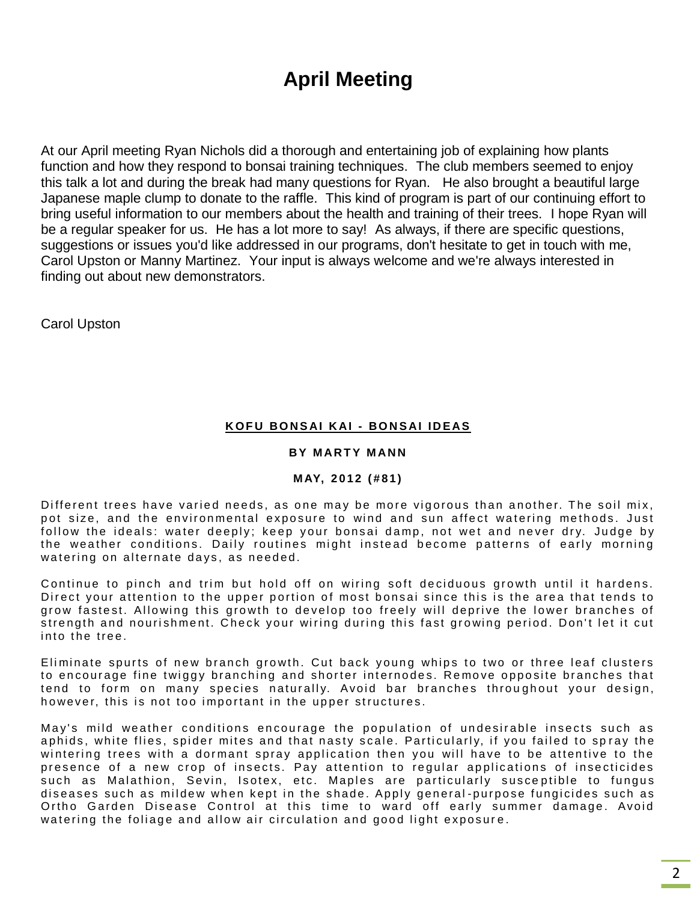## **April Meeting**

At our April meeting Ryan Nichols did a thorough and entertaining job of explaining how plants function and how they respond to bonsai training techniques. The club members seemed to enjoy this talk a lot and during the break had many questions for Ryan. He also brought a beautiful large Japanese maple clump to donate to the raffle. This kind of program is part of our continuing effort to bring useful information to our members about the health and training of their trees. I hope Ryan will be a regular speaker for us. He has a lot more to say! As always, if there are specific questions, suggestions or issues you'd like addressed in our programs, don't hesitate to get in touch with me, Carol Upston or Manny Martinez. Your input is always welcome and we're always interested in finding out about new demonstrators.

Carol Upston

#### **K O F U BO N S AI K AI - BO N S AI I D EAS**

#### **BY MARTY MANN**

#### **M AY, 2 0 1 2 ( # 8 1 )**

Different trees have varied needs, as one may be more vigorous than another. The soil mix, pot size, and the environmental exposure to wind and sun affect watering methods. Just follow the ideals: water deeply; keep your bonsai damp, not wet and never dry. Judge by the weather conditions. Daily routines might instead become patterns of early morning watering on alternate days, as needed.

Continue to pinch and trim but hold off on wiring soft deciduous growth until it hardens. Direct your attention to the upper portion of most bonsai since this is the area that tends to grow fastest. Allowing this growth to develop too freely will deprive the lower branches of strength and nourishment. Check your wiring during this fast growing period. Don't let it cut into the tree.

Eliminate spurts of new branch growth. Cut back young whips to two or three leaf clusters to encourage fine twiggy branching and shorter internodes. Remove opposite branches that tend to form on many species naturally. Avoid bar branches throughout your design, however, this is not too important in the upper structures.

May's mild weather conditions encourage the population of undesirable insects such as aphids, white flies, spider mites and that nasty scale. Particularly, if you failed to spray the wintering trees with a dormant spray application then you will have to be attentive to the presence of a new crop of insects. Pay attention to regular applications of insecticides such as Malathion, Sevin, Isotex, etc. Maples are particularly susceptible to fungus diseases such as mildew when kept in the shade. Apply general-purpose fungicides such as Ortho Garden Disease Control at this time to ward off early summer damage. Avoid watering the foliage and allow air circulation and good light exposure.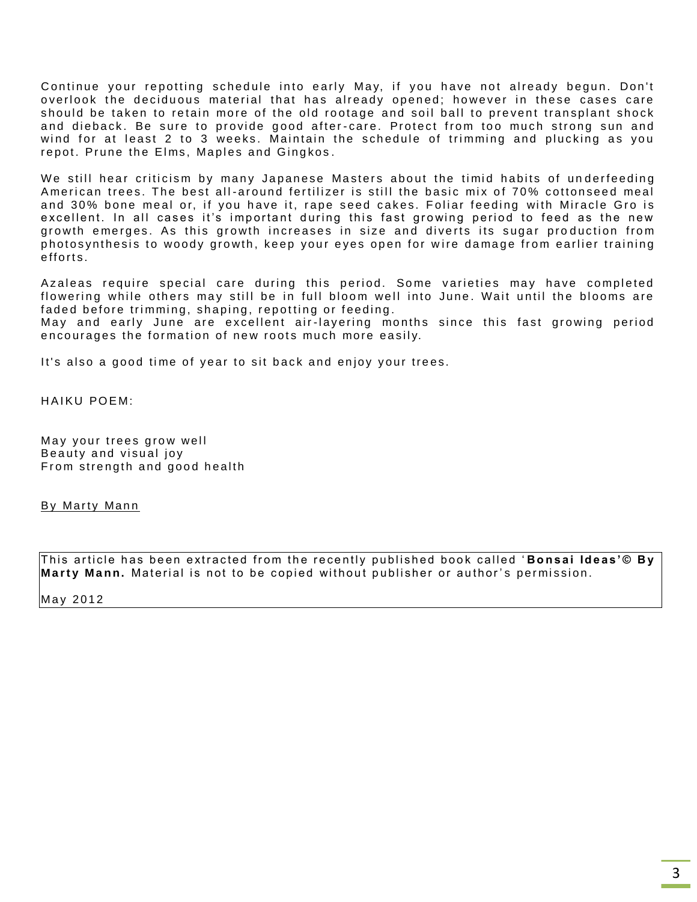Continue your repotting schedule into early May, if you have not already begun. Don't overlook the deciduous material that has already opened; however in these cases care should be taken to retain more of the old rootage and soil ball to prevent transplant shock and dieback. Be sure to provide good after-care. Protect from too much strong sun and wind for at least 2 to 3 weeks. Maintain the schedule of trimming and plucking as you repot. Prune the Elms, Maples and Gingkos.

We still hear criticism by many Japanese Masters about the timid habits of underfeeding American trees. The best all-around fertilizer is still the basic mix of 70% cottonseed meal and 30% bone meal or, if you have it, rape seed cakes. Foliar feeding with Miracle Gro is excellent. In all cases it's important during this fast growing period to feed as the new growth emerges. As this growth increases in size and diverts its sugar production from photosynthesis to woody growth, keep your eyes open for wire damage from earlier training efforts.

Azaleas require special care during this period. Some varieties may have completed flowering while others may still be in full bloom well into June. Wait until the blooms are faded before trimming, shaping, repotting or feeding.

May and early June are excellent air-layering months since this fast growing period encourages the formation of new roots much more easily.

It's also a good time of year to sit back and enjoy your trees.

HAIKU POEM<sup>.</sup>

May your trees grow well Beauty and visual joy From strength and good health

By Marty Mann

This article has been extracted from the recently published book called 'Bonsai Ideas'© By **Marty Mann.** Material is not to be copied without publisher or author's permission.

May 2012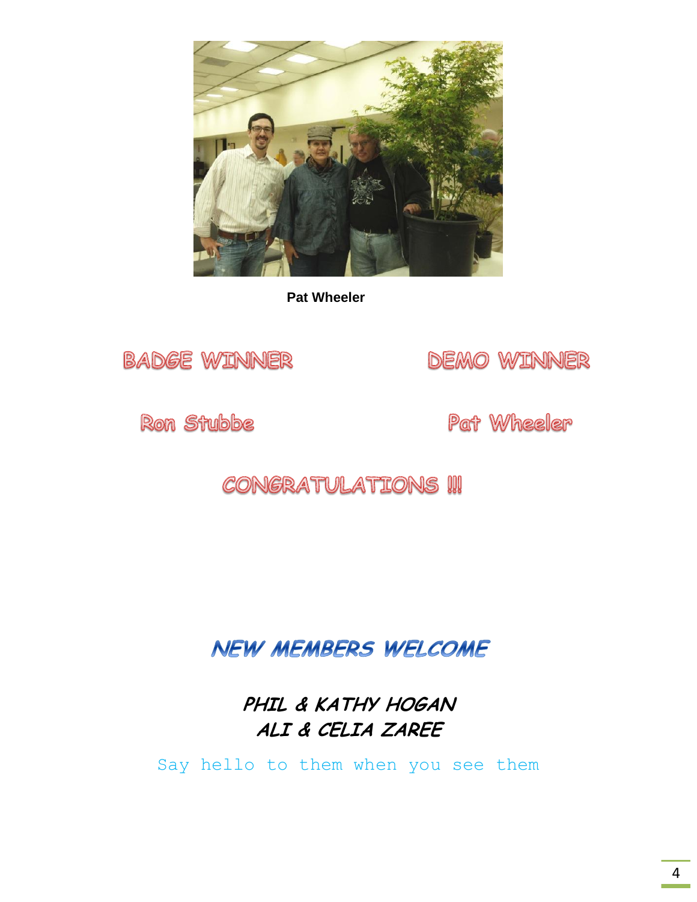

 **Pat Wheeler**



**DEMO WINNER** 

**Ron Stubbe** 

Pat Wheeler

## **CONGRATULATIONS !!!**

**NEW MEMBERS WELCOME** 

**PHIL & KATHY HOGAN ALI & CELIA ZAREE**

Say hello to them when you see them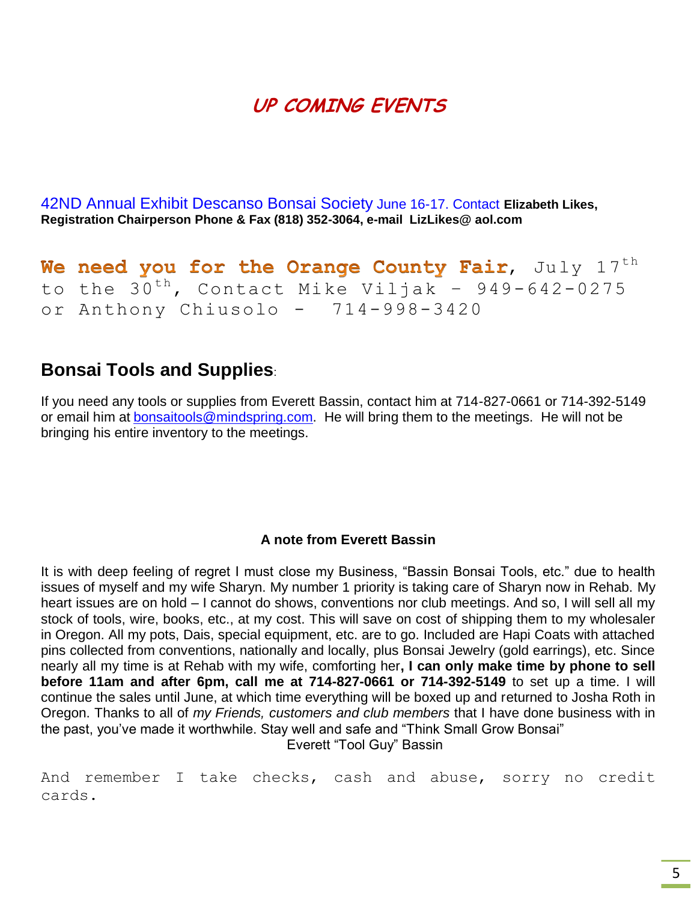## **UP COMING EVENTS**

42ND Annual Exhibit Descanso Bonsai Society June 16-17. Contact **Elizabeth Likes, Registration Chairperson Phone & Fax (818) 352-3064, e-mail LizLikes@ aol.com**

We need you for the Orange County Fair,  $July 17<sup>th</sup>$ to the  $30^{th}$ , Contact Mike Viljak - 949-642-0275 or Anthony Chiusolo - 714-998-3420

### **Bonsai Tools and Supplies**:

If you need any tools or supplies from Everett Bassin, contact him at 714-827-0661 or 714-392-5149 or email him at [bonsaitools@mindspring.com.](mailto:bonsaitools@mindspring.com) He will bring them to the meetings. He will not be bringing his entire inventory to the meetings.

### **A note from Everett Bassin**

It is with deep feeling of regret I must close my Business, "Bassin Bonsai Tools, etc." due to health issues of myself and my wife Sharyn. My number 1 priority is taking care of Sharyn now in Rehab. My heart issues are on hold – I cannot do shows, conventions nor club meetings. And so, I will sell all my stock of tools, wire, books, etc., at my cost. This will save on cost of shipping them to my wholesaler in Oregon. All my pots, Dais, special equipment, etc. are to go. Included are Hapi Coats with attached pins collected from conventions, nationally and locally, plus Bonsai Jewelry (gold earrings), etc. Since nearly all my time is at Rehab with my wife, comforting her**, I can only make time by phone to sell before 11am and after 6pm, call me at 714-827-0661 or 714-392-5149** to set up a time. I will continue the sales until June, at which time everything will be boxed up and returned to Josha Roth in Oregon. Thanks to all of *my Friends, customers and club members* that I have done business with in the past, you've made it worthwhile. Stay well and safe and "Think Small Grow Bonsai" Everett "Tool Guy" Bassin

And remember I take checks, cash and abuse, sorry no credit cards.